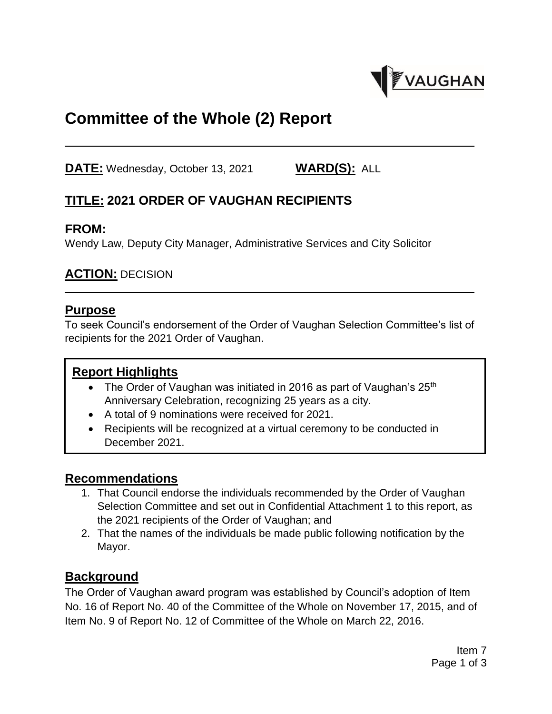

# **Committee of the Whole (2) Report**

**DATE:** Wednesday, October 13, 2021 **WARD(S):** ALL

# **TITLE: 2021 ORDER OF VAUGHAN RECIPIENTS**

#### **FROM:**

Wendy Law, Deputy City Manager, Administrative Services and City Solicitor

### **ACTION:** DECISION

#### **Purpose**

To seek Council's endorsement of the Order of Vaughan Selection Committee's list of recipients for the 2021 Order of Vaughan.

#### **Report Highlights**

- The Order of Vaughan was initiated in 2016 as part of Vaughan's  $25<sup>th</sup>$ Anniversary Celebration, recognizing 25 years as a city.
- A total of 9 nominations were received for 2021.
- Recipients will be recognized at a virtual ceremony to be conducted in December 2021.

### **Recommendations**

- 1. That Council endorse the individuals recommended by the Order of Vaughan Selection Committee and set out in Confidential Attachment 1 to this report, as the 2021 recipients of the Order of Vaughan; and
- 2. That the names of the individuals be made public following notification by the Mayor.

### **Background**

The Order of Vaughan award program was established by Council's adoption of Item No. 16 of Report No. 40 of the Committee of the Whole on November 17, 2015, and of Item No. 9 of Report No. 12 of Committee of the Whole on March 22, 2016.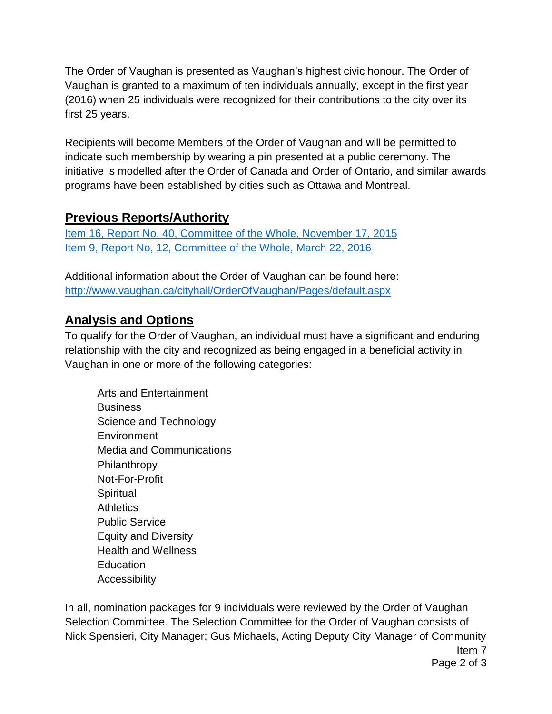The Order of Vaughan is presented as Vaughan's highest civic honour. The Order of Vaughan is granted to a maximum of ten individuals annually, except in the first year (2016) when 25 individuals were recognized for their contributions to the city over its first 25 years.

Recipients will become Members of the Order of Vaughan and will be permitted to indicate such membership by wearing a pin presented at a public ceremony. The initiative is modelled after the Order of Canada and Order of Ontario, and similar awards programs have been established by cities such as Ottawa and Montreal.

# **Previous Reports/Authority**

[Item 16, Report No. 40, Committee of the Whole, November 17, 2015](https://www.vaughan.ca/council/minutes_agendas/AgendaItems/CW1103_15_16.pdf) [Item 9, Report No, 12, Committee of the Whole, March 22, 2016](https://www.vaughan.ca/council/minutes_agendas/AgendaItems/CW0301_16_9.pdf)

Additional information about the Order of Vaughan can be found here: <http://www.vaughan.ca/cityhall/OrderOfVaughan/Pages/default.aspx>

## **Analysis and Options**

To qualify for the Order of Vaughan, an individual must have a significant and enduring relationship with the city and recognized as being engaged in a beneficial activity in Vaughan in one or more of the following categories:

Arts and Entertainment **Business** Science and Technology **Environment** Media and Communications Philanthropy Not-For-Profit **Spiritual Athletics** Public Service Equity and Diversity Health and Wellness **Education Accessibility** 

Item 7 In all, nomination packages for 9 individuals were reviewed by the Order of Vaughan Selection Committee. The Selection Committee for the Order of Vaughan consists of Nick Spensieri, City Manager; Gus Michaels, Acting Deputy City Manager of Community